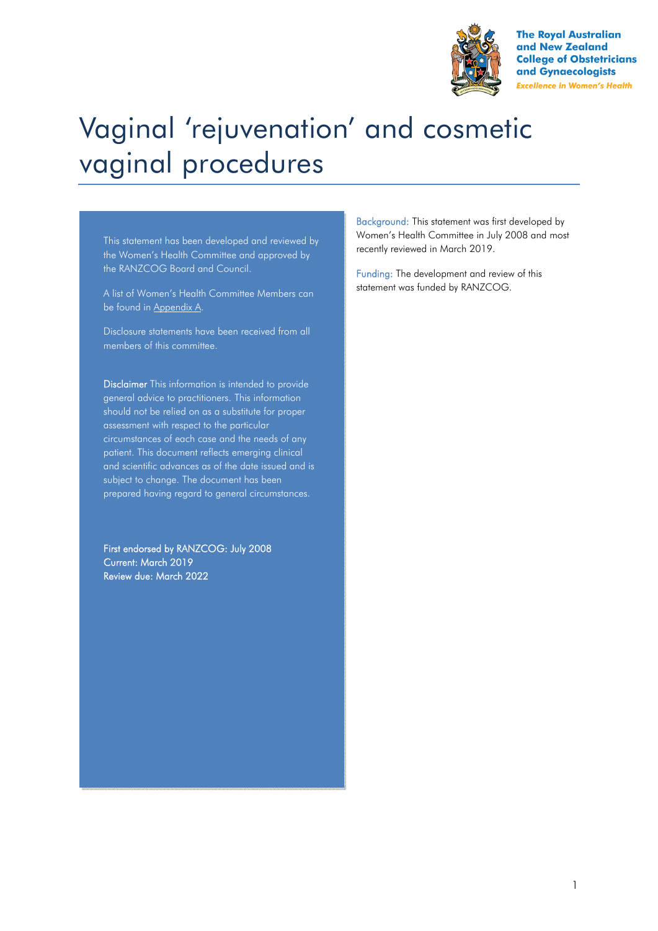

**The Roval Australian** and New Zealand **College of Obstetricians** and Gynaecologists **Excellence in Women's Health** 

# Vaginal 'rejuvenation' and cosmetic vaginal procedures

This statement has been developed and reviewed by the Women's Health Committee and approved by the RANZCOG Board and Council.

A list of Women's Health Committee Members can be found in Appendix A.

Disclosure statements have been received from all members of this committee.

Disclaimer This information is intended to provide general advice to practitioners. This information should not be relied on as a substitute for proper assessment with respect to the particular circumstances of each case and the needs of any patient. This document reflects emerging clinical and scientific advances as of the date issued and is subject to change. The document has been prepared having regard to general circumstances.

First endorsed by RANZCOG: July 2008 Current: March 2019 Review due: March 2022

Background: This statement was first developed by Women's Health Committee in July 2008 and most recently reviewed in March 2019.

Funding: The development and review of this statement was funded by RANZCOG.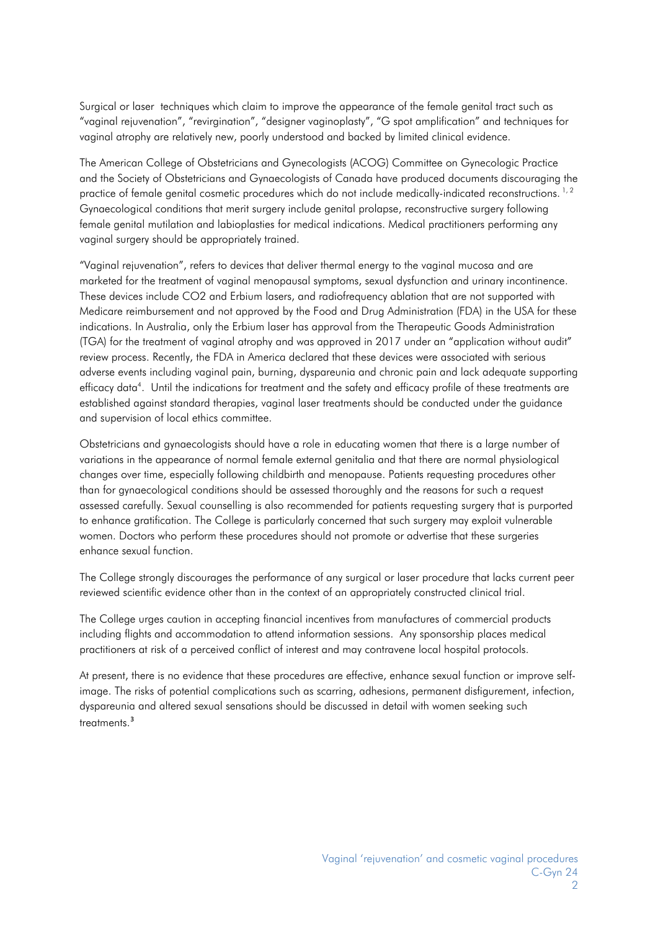Surgical or laser techniques which claim to improve the appearance of the female genital tract such as "vaginal rejuvenation", "revirgination", "designer vaginoplasty", "G spot amplification" and techniques for vaginal atrophy are relatively new, poorly understood and backed by limited clinical evidence.

The American College of Obstetricians and Gynecologists (ACOG) Committee on Gynecologic Practice and the Society of Obstetricians and Gynaecologists of Canada have produced documents discouraging the practice of female genital cosmetic procedures which do not include medically-indicated reconstructions.<sup>1,2</sup> Gynaecological conditions that merit surgery include genital prolapse, reconstructive surgery following female genital mutilation and labioplasties for medical indications. Medical practitioners performing any vaginal surgery should be appropriately trained.

"Vaginal rejuvenation", refers to devices that deliver thermal energy to the vaginal mucosa and are marketed for the treatment of vaginal menopausal symptoms, sexual dysfunction and urinary incontinence. These devices include CO2 and Erbium lasers, and radiofrequency ablation that are not supported with Medicare reimbursement and not approved by the Food and Drug Administration (FDA) in the USA for these indications. In Australia, only the Erbium laser has approval from the Therapeutic Goods Administration (TGA) for the treatment of vaginal atrophy and was approved in 2017 under an "application without audit" review process. Recently, the FDA in America declared that these devices were associated with serious adverse events including vaginal pain, burning, dyspareunia and chronic pain and lack adequate supporting efficacy data<sup>4</sup>. Until the indications for treatment and the safety and efficacy profile of these treatments are established against standard therapies, vaginal laser treatments should be conducted under the guidance and supervision of local ethics committee.

Obstetricians and gynaecologists should have a role in educating women that there is a large number of variations in the appearance of normal female external genitalia and that there are normal physiological changes over time, especially following childbirth and menopause. Patients requesting procedures other than for gynaecological conditions should be assessed thoroughly and the reasons for such a request assessed carefully. Sexual counselling is also recommended for patients requesting surgery that is purported to enhance gratification. The College is particularly concerned that such surgery may exploit vulnerable women. Doctors who perform these procedures should not promote or advertise that these surgeries enhance sexual function.

The College strongly discourages the performance of any surgical or laser procedure that lacks current peer reviewed scientific evidence other than in the context of an appropriately constructed clinical trial.

The College urges caution in accepting financial incentives from manufactures of commercial products including flights and accommodation to attend information sessions. Any sponsorship places medical practitioners at risk of a perceived conflict of interest and may contravene local hospital protocols.

At present, there is no evidence that these procedures are effective, enhance sexual function or improve selfimage. The risks of potential complications such as scarring, adhesions, permanent disfigurement, infection, dyspareunia and altered sexual sensations should be discussed in detail with women seeking such treatments.<sup>3</sup>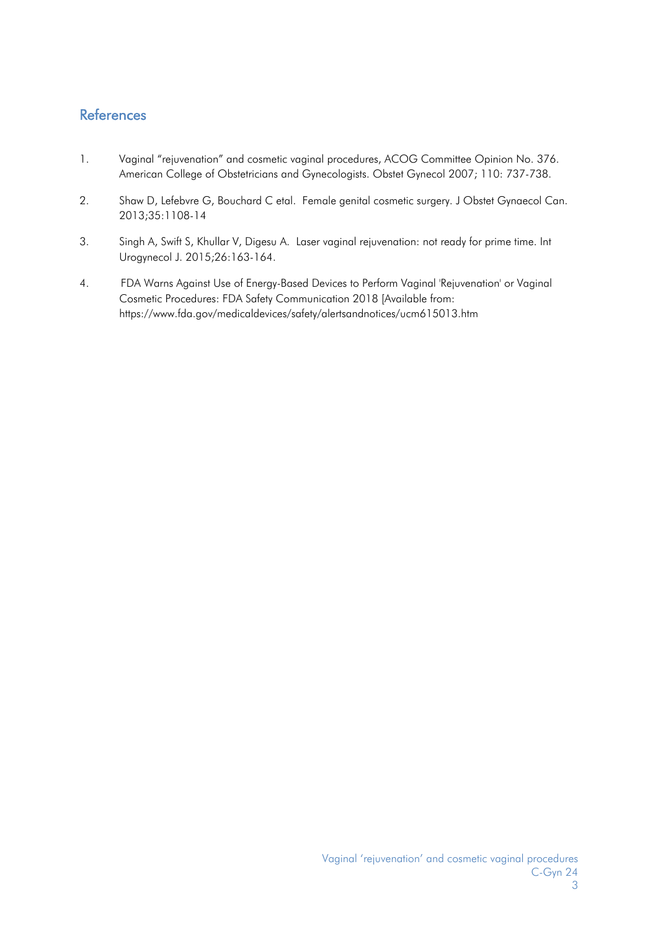### **References**

- 1. Vaginal "rejuvenation" and cosmetic vaginal procedures, ACOG Committee Opinion No. 376. American College of Obstetricians and Gynecologists. Obstet Gynecol 2007; 110: 737-738.
- 2. Shaw D, Lefebvre G, Bouchard C etal. Female genital cosmetic surgery. J Obstet Gynaecol Can. 2013;35:1108-14
- 3. Singh A, Swift S, Khullar V, Digesu A. Laser vaginal rejuvenation: not ready for prime time. Int Urogynecol J. 2015;26:163-164.
- 4. FDA Warns Against Use of Energy-Based Devices to Perform Vaginal 'Rejuvenation' or Vaginal Cosmetic Procedures: FDA Safety Communication 2018 [Available from: https://www.fda.gov/medicaldevices/safety/alertsandnotices/ucm615013.htm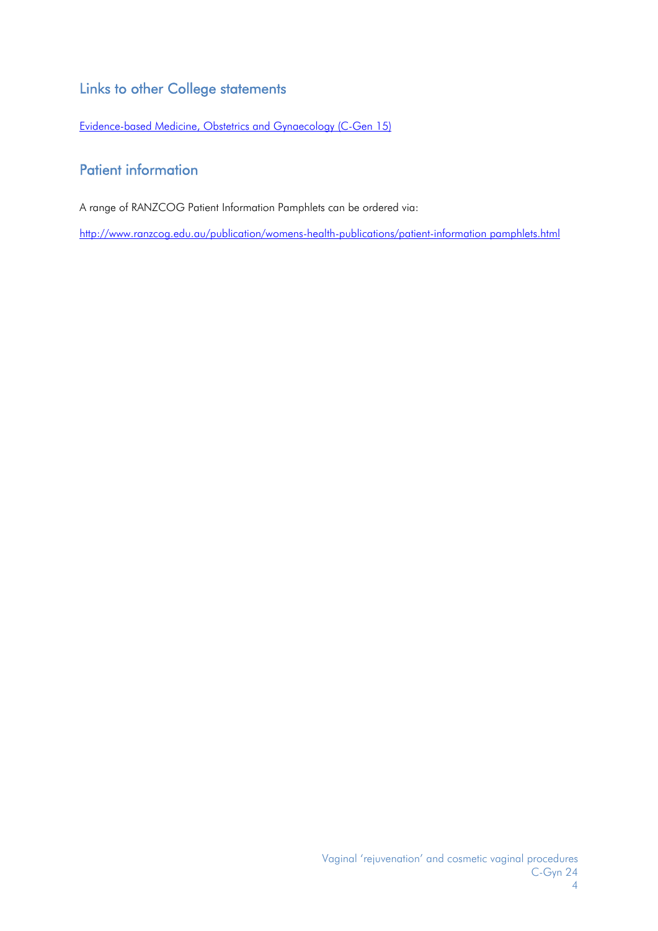## Links to other College statements

Evidence-based Medicine, Obstetrics and Gynaecology (C-Gen 15)

## Patient information

A range of RANZCOG Patient Information Pamphlets can be ordered via:

http://www.ranzcog.edu.au/publication/womens-health-publications/patient-information pamphlets.html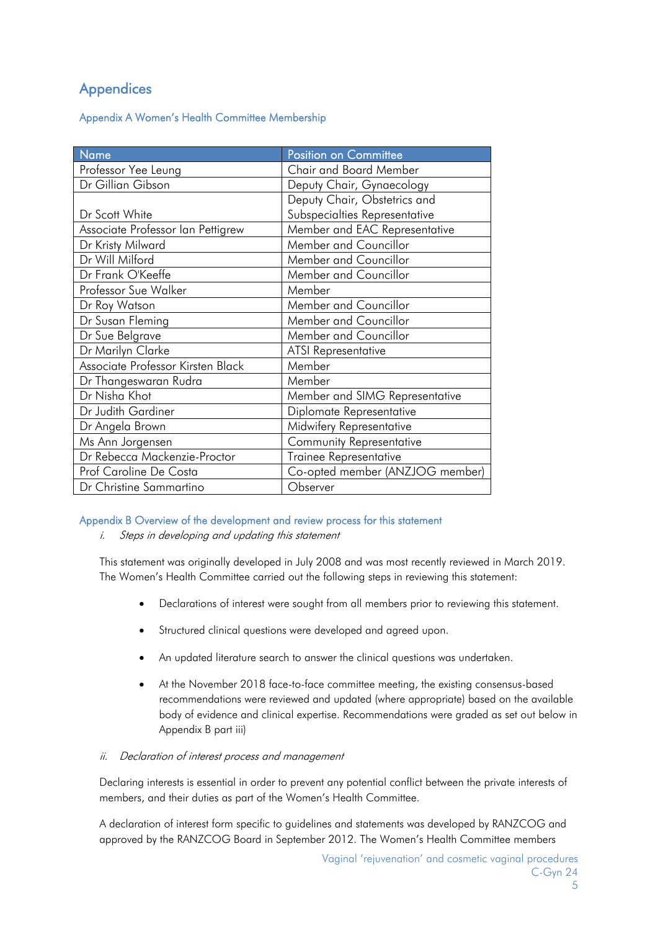## **Appendices**

#### Appendix A Women's Health Committee Membership

| Name                              | <b>Position on Committee</b>    |  |
|-----------------------------------|---------------------------------|--|
| Professor Yee Leung               | <b>Chair and Board Member</b>   |  |
| Dr Gillian Gibson                 | Deputy Chair, Gynaecology       |  |
|                                   | Deputy Chair, Obstetrics and    |  |
| Dr Scott White                    | Subspecialties Representative   |  |
| Associate Professor Ian Pettigrew | Member and EAC Representative   |  |
| Dr Kristy Milward                 | Member and Councillor           |  |
| Dr Will Milford                   | Member and Councillor           |  |
| Dr Frank O'Keeffe                 | Member and Councillor           |  |
| Professor Sue Walker              | Member                          |  |
| Dr Roy Watson                     | Member and Councillor           |  |
| Dr Susan Fleming                  | Member and Councillor           |  |
| Dr Sue Belgrave                   | Member and Councillor           |  |
| Dr Marilyn Clarke                 | <b>ATSI Representative</b>      |  |
| Associate Professor Kirsten Black | Member                          |  |
| Dr Thangeswaran Rudra             | Member                          |  |
| Dr Nisha Khot                     | Member and SIMG Representative  |  |
| Dr Judith Gardiner                | Diplomate Representative        |  |
| Dr Angela Brown                   | Midwifery Representative        |  |
| Ms Ann Jorgensen                  | Community Representative        |  |
| Dr Rebecca Mackenzie-Proctor      | Trainee Representative          |  |
| Prof Caroline De Costa            | Co-opted member (ANZJOG member) |  |
| Dr Christine Sammartino           | Observer                        |  |

#### Appendix B Overview of the development and review process for this statement

i. Steps in developing and updating this statement

This statement was originally developed in July 2008 and was most recently reviewed in March 2019. The Women's Health Committee carried out the following steps in reviewing this statement:

- Declarations of interest were sought from all members prior to reviewing this statement.
- Structured clinical questions were developed and agreed upon.
- An updated literature search to answer the clinical questions was undertaken.
- At the November 2018 face-to-face committee meeting, the existing consensus-based recommendations were reviewed and updated (where appropriate) based on the available body of evidence and clinical expertise. Recommendations were graded as set out below in Appendix B part iii)

#### ii. Declaration of interest process and management

Declaring interests is essential in order to prevent any potential conflict between the private interests of members, and their duties as part of the Women's Health Committee.

A declaration of interest form specific to guidelines and statements was developed by RANZCOG and approved by the RANZCOG Board in September 2012. The Women's Health Committee members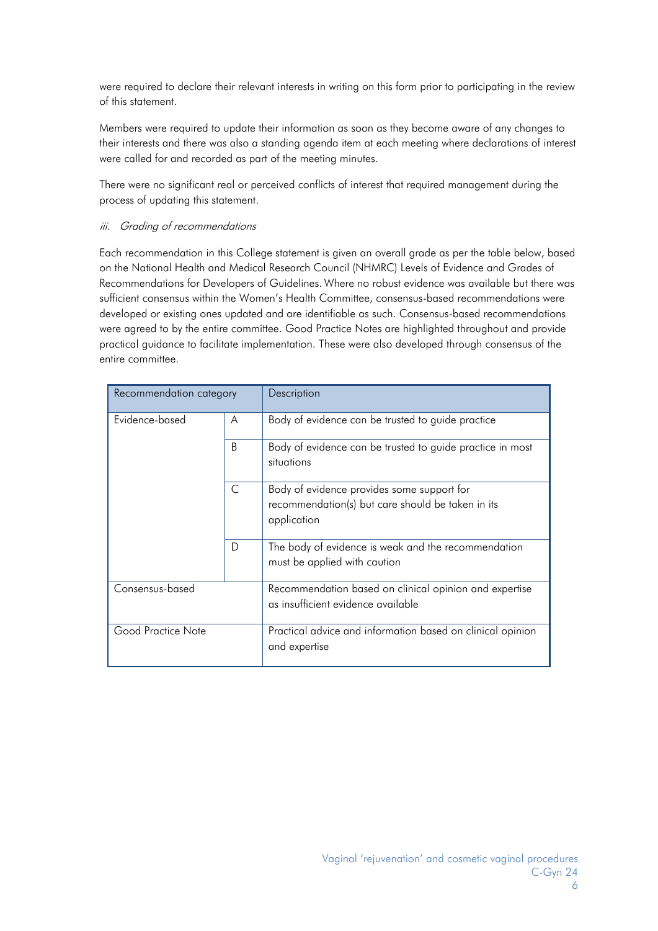were required to declare their relevant interests in writing on this form prior to participating in the review of this statement.

Members were required to update their information as soon as they become aware of any changes to their interests and there was also a standing agenda item at each meeting where declarations of interest were called for and recorded as part of the meeting minutes.

There were no significant real or perceived conflicts of interest that required management during the process of updating this statement.

#### iii. Grading of recommendations

Each recommendation in this College statement is given an overall grade as per the table below, based on the National Health and Medical Research Council (NHMRC) Levels of Evidence and Grades of Recommendations for Developers of Guidelines. Where no robust evidence was available but there was sufficient consensus within the Women's Health Committee, consensus-based recommendations were developed or existing ones updated and are identifiable as such. Consensus-based recommendations were agreed to by the entire committee. Good Practice Notes are highlighted throughout and provide practical guidance to facilitate implementation. These were also developed through consensus of the entire committee.

| Recommendation category |   | Description                                                                                                    |
|-------------------------|---|----------------------------------------------------------------------------------------------------------------|
| Evidence-based          | A | Body of evidence can be trusted to guide practice                                                              |
|                         | B | Body of evidence can be trusted to guide practice in most<br>situations                                        |
|                         | C | Body of evidence provides some support for<br>recommendation(s) but care should be taken in its<br>application |
|                         | D | The body of evidence is weak and the recommendation<br>must be applied with caution                            |
| Consensus-based         |   | Recommendation based on clinical opinion and expertise<br>as insufficient evidence available                   |
| Good Practice Note      |   | Practical advice and information based on clinical opinion<br>and expertise                                    |